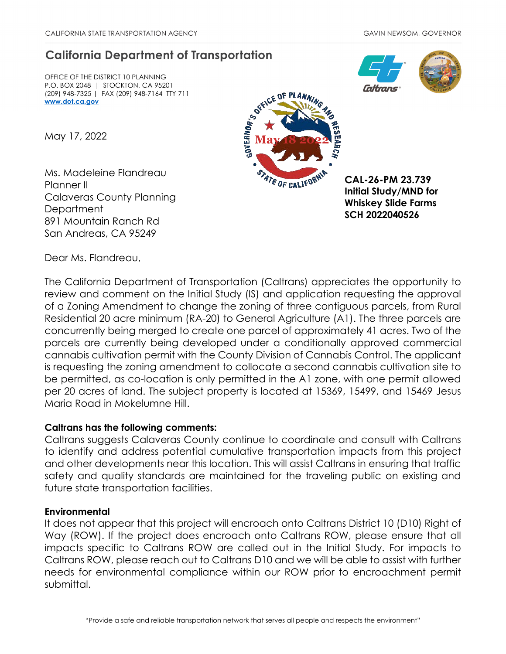## **California Department of Transportation**

OFFICE OF THE DISTRICT 10 PLANNING P.O. BOX 2048 | STOCKTON, CA 95201 (209) 948-7325 | FAX (209) 948-7164 TTY 711 **[www.dot.ca.gov](http://www.dot.ca.gov/)**

May 17, 2022

Ms. Madeleine Flandreau Planner II Calaveras County Planning **Department** 891 Mountain Ranch Rd San Andreas, CA 95249



**CAL-26-PM 23.739 Initial Study/MND for Whiskey Slide Farms SCH 2022040526**

nitrans

Dear Ms. Flandreau,

The California Department of Transportation (Caltrans) appreciates the opportunity to review and comment on the Initial Study (IS) and application requesting the approval of a Zoning Amendment to change the zoning of three contiguous parcels, from Rural Residential 20 acre minimum (RA-20) to General Agriculture (A1). The three parcels are concurrently being merged to create one parcel of approximately 41 acres. Two of the parcels are currently being developed under a conditionally approved commercial cannabis cultivation permit with the County Division of Cannabis Control. The applicant is requesting the zoning amendment to collocate a second cannabis cultivation site to be permitted, as co-location is only permitted in the A1 zone, with one permit allowed per 20 acres of land. The subject property is located at 15369, 15499, and 15469 Jesus Maria Road in Mokelumne Hill.

## **Caltrans has the following comments:**

Caltrans suggests Calaveras County continue to coordinate and consult with Caltrans to identify and address potential cumulative transportation impacts from this project and other developments near this location. This will assist Caltrans in ensuring that traffic safety and quality standards are maintained for the traveling public on existing and future state transportation facilities.

## **Environmental**

It does not appear that this project will encroach onto Caltrans District 10 (D10) Right of Way (ROW). If the project does encroach onto Caltrans ROW, please ensure that all impacts specific to Caltrans ROW are called out in the Initial Study. For impacts to Caltrans ROW, please reach out to Caltrans D10 and we will be able to assist with further needs for environmental compliance within our ROW prior to encroachment permit submittal.